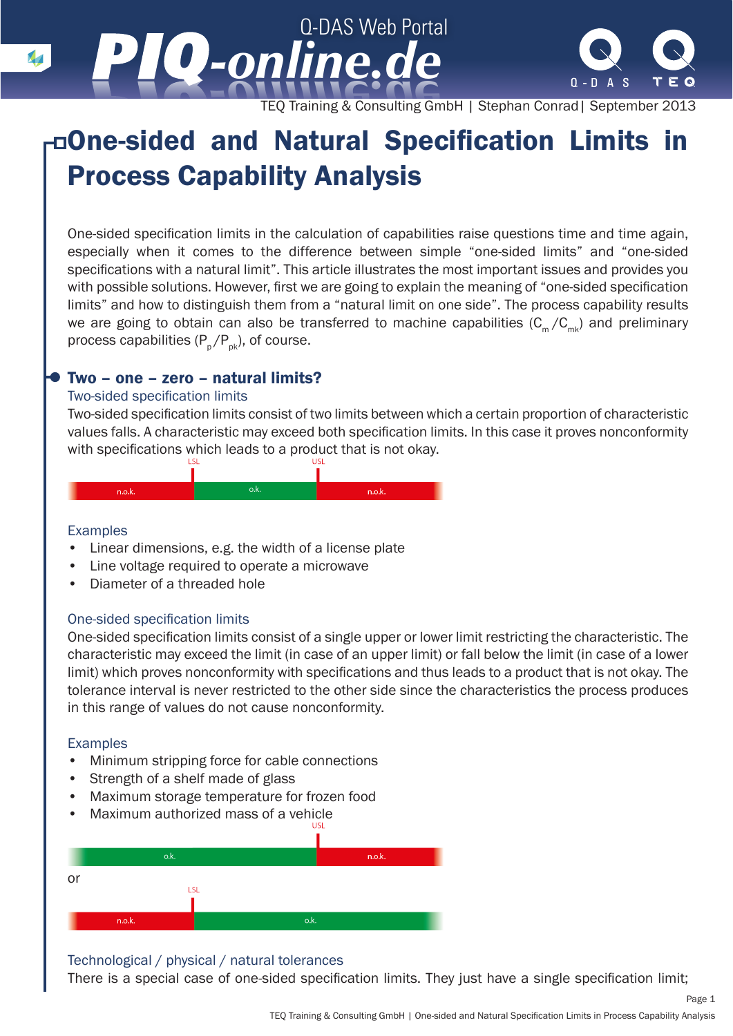TEQ Training & Consulting GmbH | Stephan Conrad| September 2013

# One-sided and Natural Specification Limits in Process Capability Analysis

Q-DAS Web Portal

*-online.de -online.de*

One-sided specification limits in the calculation of capabilities raise questions time and time again, especially when it comes to the difference between simple "one-sided limits" and "one-sided specifications with a natural limit". This article illustrates the most important issues and provides you with possible solutions. However, first we are going to explain the meaning of "one-sided specification limits" and how to distinguish them from a "natural limit on one side". The process capability results we are going to obtain can also be transferred to machine capabilities  $(C_m/C_{mk})$  and preliminary process capabilities  $(P_p / P_{pk})$ , of course.

## Two – one – zero – natural limits?

## Two-sided specification limits

Two-sided specification limits consist of two limits between which a certain proportion of characteristic values falls. A characteristic may exceed both specification limits. In this case it proves nonconformity with specifications which leads to a product that is not okay.



## Examples

- Linear dimensions, e.g. the width of a license plate
- Line voltage required to operate a microwave
- Diameter of a threaded hole

## One-sided specification limits

One-sided specification limits consist of a single upper or lower limit restricting the characteristic. The characteristic may exceed the limit (in case of an upper limit) or fall below the limit (in case of a lower limit) which proves nonconformity with specifications and thus leads to a product that is not okay. The tolerance interval is never restricted to the other side since the characteristics the process produces in this range of values do not cause nonconformity.

#### Examples

- Minimum stripping force for cable connections
- Strength of a shelf made of glass
- Maximum storage temperature for frozen food
- Maximum authorized mass of a vehicle



#### Technological / physical / natural tolerances

There is a special case of one-sided specification limits. They just have a single specification limit;

Page 1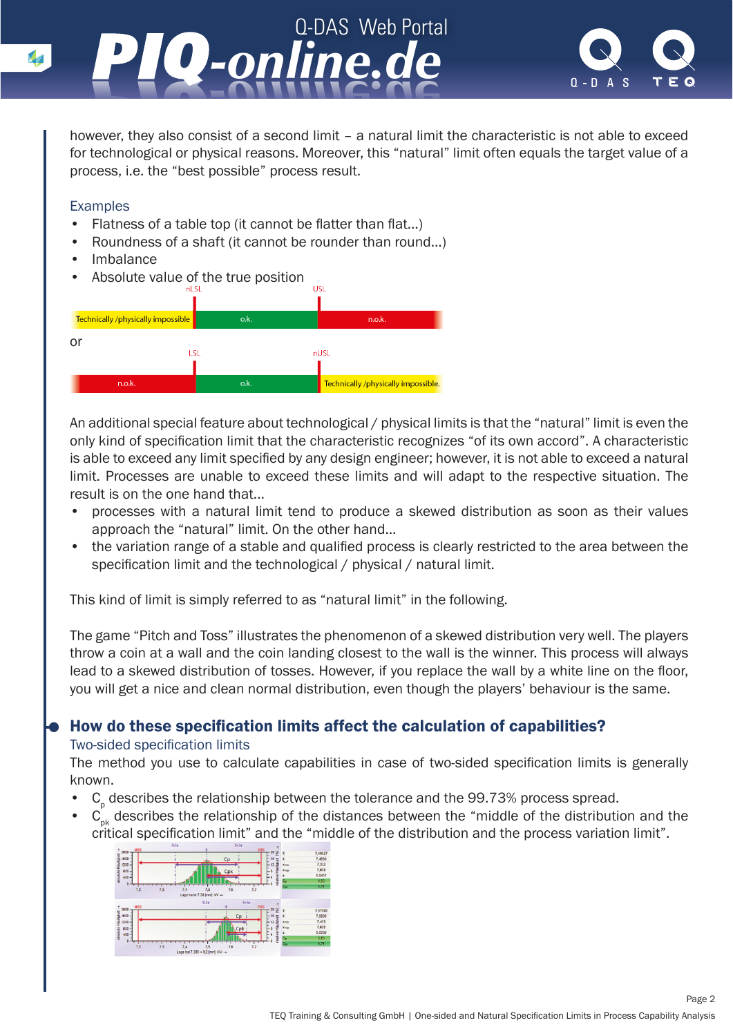



however, they also consist of a second limit – a natural limit the characteristic is not able to exceed for technological or physical reasons. Moreover, this "natural" limit often equals the target value of a process, i.e. the "best possible" process result.

## Examples

- Flatness of a table top (it cannot be flatter than flat...)
- Roundness of a shaft (it cannot be rounder than round…)
- **Imbalance**
- Absolute value of the true position



An additional special feature about technological / physical limits is that the "natural" limit is even the only kind of specification limit that the characteristic recognizes "of its own accord". A characteristic is able to exceed any limit specified by any design engineer; however, it is not able to exceed a natural limit. Processes are unable to exceed these limits and will adapt to the respective situation. The result is on the one hand that...

- processes with a natural limit tend to produce a skewed distribution as soon as their values approach the "natural" limit. On the other hand…
- the variation range of a stable and qualified process is clearly restricted to the area between the specification limit and the technological / physical / natural limit.

This kind of limit is simply referred to as "natural limit" in the following.

The game "Pitch and Toss" illustrates the phenomenon of a skewed distribution very well. The players throw a coin at a wall and the coin landing closest to the wall is the winner. This process will always lead to a skewed distribution of tosses. However, if you replace the wall by a white line on the floor, you will get a nice and clean normal distribution, even though the players' behaviour is the same.

# How do these specification limits affect the calculation of capabilities?

## Two-sided specification limits

The method you use to calculate capabilities in case of two-sided specification limits is generally known.

- $\cdot$  C<sub>p</sub> describes the relationship between the tolerance and the 99.73% process spread.
- $C_{pk}$  describes the relationship of the distances between the "middle of the distribution and the critical specification limit" and the "middle of the distribution and the process variation limit".

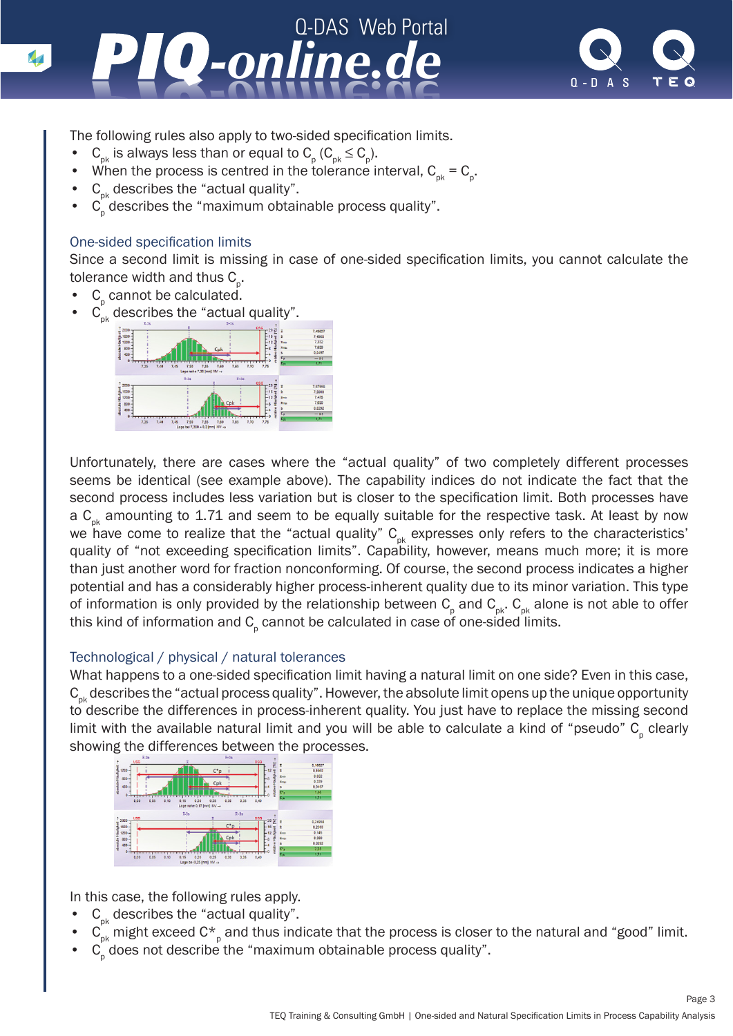



The following rules also apply to two-sided specification limits.

- $C_{pk}$  is always less than or equal to  $C_{p}$  ( $C_{pk} \le C_{p}$ ).
- When the process is centred in the tolerance interval,  $C_{pk} = C_{p}$ .
- $C_{nk}$  describes the "actual quality".
- $C_p$  describes the "maximum obtainable process quality".

## One-sided specification limits

Since a second limit is missing in case of one-sided specification limits, you cannot calculate the tolerance width and thus  $\mathtt{C}_{{}_{\mathrm{p}}}$ .

- $C_p$  cannot be calculated.
- $C_{pk}$  describes the "actual quality".



Unfortunately, there are cases where the "actual quality" of two completely different processes seems be identical (see example above). The capability indices do not indicate the fact that the second process includes less variation but is closer to the specification limit. Both processes have a  $C_{nk}$  amounting to 1.71 and seem to be equally suitable for the respective task. At least by now we have come to realize that the "actual quality"  $C_{pk}$  expresses only refers to the characteristics' quality of "not exceeding specification limits". Capability, however, means much more; it is more than just another word for fraction nonconforming. Of course, the second process indicates a higher potential and has a considerably higher process-inherent quality due to its minor variation. This type of information is only provided by the relationship between  $\textsf{C}_{_{\sf{p}}}$  and  $\textsf{C}_{_{\sf{pk}}}$ .  $\textsf{C}_{_{\sf pk}}$  alone is not able to offer this kind of information and  ${\sf C}_{_{\sf p}}$  cannot be calculated in case of one-sided limits.

## Technological / physical / natural tolerances

What happens to a one-sided specification limit having a natural limit on one side? Even in this case,  $C_{nk}$  describes the "actual process quality". However, the absolute limit opens up the unique opportunity to describe the differences in process-inherent quality. You just have to replace the missing second limit with the available natural limit and you will be able to calculate a kind of "pseudo"  $\mathsf{C}_{{}_{\mathrm{p}}}$  clearly showing the differences between the processes.



In this case, the following rules apply.

- $C_{nk}$  describes the "actual quality".
- $\,$  C<sub>pk</sub> might exceed C<sup>\*</sup><sub>p</sub> and thus indicate that the process is closer to the natural and "good" limit.
- $C_p$  does not describe the "maximum obtainable process quality".

Page 3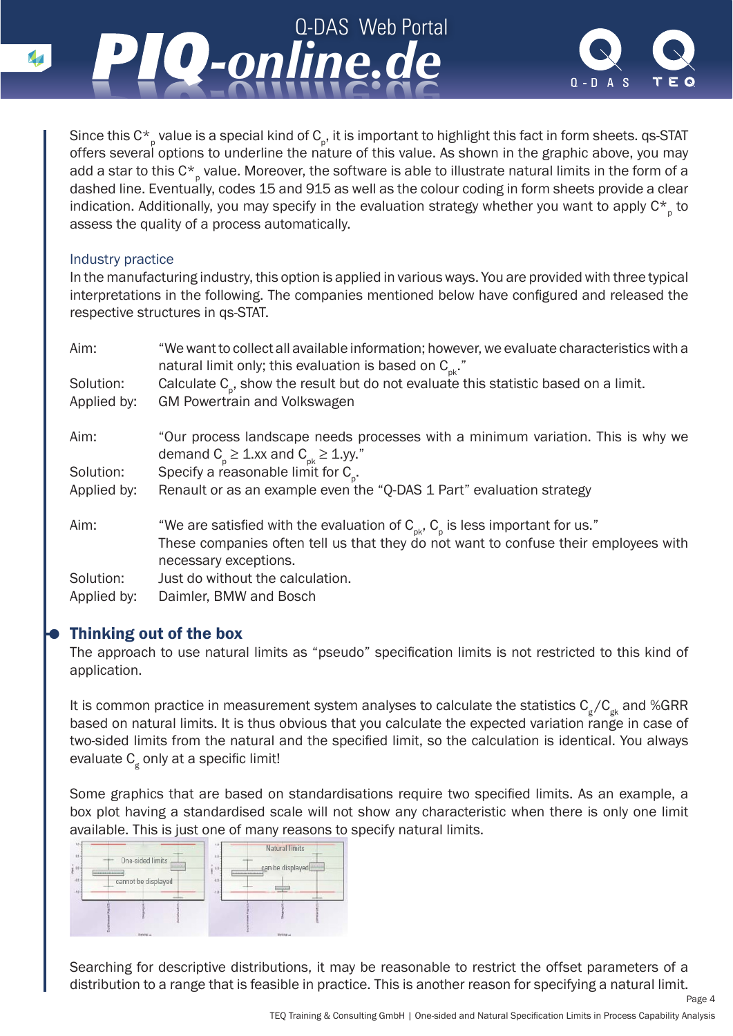



Since this C $\star_{_{\rm{p}}}$  value is a special kind of C $_{_{\rm{p}}}$ , it is important to highlight this fact in form sheets. qs-STAT offers several options to underline the nature of this value. As shown in the graphic above, you may add a star to this C $^{\star}{}_{_{\rm p}}$  value. Moreover, the software is able to illustrate natural limits in the form of a dashed line. Eventually, codes 15 and 915 as well as the colour coding in form sheets provide a clear indication. Additionally, you may specify in the evaluation strategy whether you want to apply  $\mathsf{C^{\star}}_{_{\mathsf{p}}}$  to assess the quality of a process automatically.

## Industry practice

In the manufacturing industry, this option is applied in various ways. You are provided with three typical interpretations in the following. The companies mentioned below have configured and released the respective structures in qs-STAT.

| Aim:        | "We want to collect all available information; however, we evaluate characteristics with a<br>natural limit only; this evaluation is based on $C_{\alpha k}$ ." |
|-------------|-----------------------------------------------------------------------------------------------------------------------------------------------------------------|
| Solution:   | Calculate $C_{p}$ , show the result but do not evaluate this statistic based on a limit.                                                                        |
| Applied by: | <b>GM Powertrain and Volkswagen</b>                                                                                                                             |
| Aim:        | "Our process landscape needs processes with a minimum variation. This is why we<br>demand $C_{p} \ge 1$ .xx and $C_{pk} \ge 1$ .yy."                            |
| Solution:   | Specify a reasonable limit for $C_{0}$ .                                                                                                                        |
| Applied by: | Renault or as an example even the "Q-DAS 1 Part" evaluation strategy                                                                                            |
| Aim:        | "We are satisfied with the evaluation of $C_{\text{pk}}$ , $C_{\text{p}}$ is less important for us."                                                            |
|             | These companies often tell us that they do not want to confuse their employees with<br>necessary exceptions.                                                    |
| Solution:   | Just do without the calculation.                                                                                                                                |
| Applied by: | Daimler, BMW and Bosch                                                                                                                                          |

# Thinking out of the box

The approach to use natural limits as "pseudo" specification limits is not restricted to this kind of application.

It is common practice in measurement system analyses to calculate the statistics  $C_g/C_{gk}$  and %GRR based on natural limits. It is thus obvious that you calculate the expected variation range in case of two-sided limits from the natural and the specified limit, so the calculation is identical. You always evaluate C<sub>g</sub> only at a specific limit!

Some graphics that are based on standardisations require two specified limits. As an example, a box plot having a standardised scale will not show any characteristic when there is only one limit available. This is just one of many reasons to specify natural limits.



Searching for descriptive distributions, it may be reasonable to restrict the offset parameters of a distribution to a range that is feasible in practice. This is another reason for specifying a natural limit.

Page 4